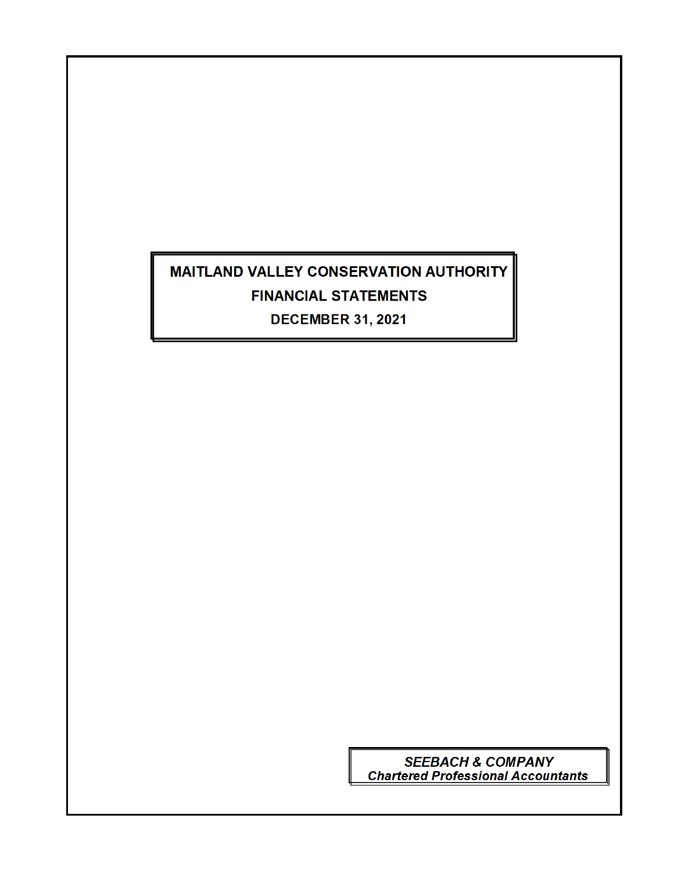# **MAITLAND VALLEY CONSERVATION AUTHORITY FINANCIAL STATEMENTS DECEMBER 31, 2021**

 *SEEBACH & COMPANY Chartered Professional Accountants*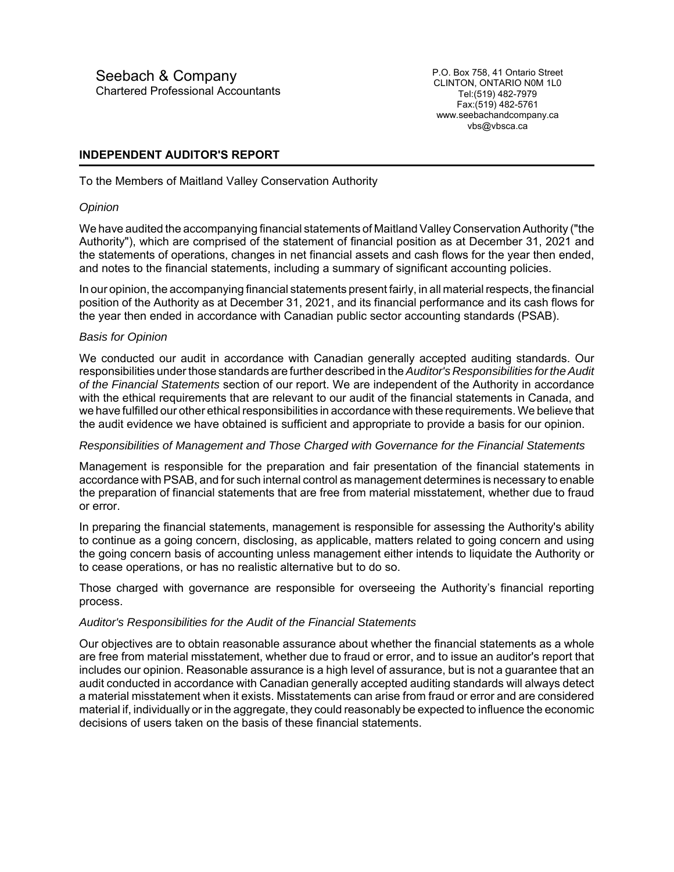Seebach & Company Chartered Professional Accountants P.O. Box 758, 41 Ontario Street CLINTON, ONTARIO N0M 1L0 Tel:(519) 482-7979 Fax:(519) 482-5761 www.seebachandcompany.ca vbs@vbsca.ca

### **INDEPENDENT AUDITOR'S REPORT**

To the Members of Maitland Valley Conservation Authority

#### *Opinion*

We have audited the accompanying financial statements of Maitland Valley Conservation Authority ("the Authority"), which are comprised of the statement of financial position as at December 31, 2021 and the statements of operations, changes in net financial assets and cash flows for the year then ended, and notes to the financial statements, including a summary of significant accounting policies.

In our opinion, the accompanying financial statements present fairly, in all material respects, the financial position of the Authority as at December 31, 2021, and its financial performance and its cash flows for the year then ended in accordance with Canadian public sector accounting standards (PSAB).

#### *Basis for Opinion*

We conducted our audit in accordance with Canadian generally accepted auditing standards. Our responsibilities under those standards are further described in the *Auditor's Responsibilities for the Audit of the Financial Statements* section of our report. We are independent of the Authority in accordance with the ethical requirements that are relevant to our audit of the financial statements in Canada, and we have fulfilled our other ethical responsibilities in accordance with these requirements. We believe that the audit evidence we have obtained is sufficient and appropriate to provide a basis for our opinion.

### *Responsibilities of Management and Those Charged with Governance for the Financial Statements*

Management is responsible for the preparation and fair presentation of the financial statements in accordance with PSAB, and for such internal control as management determines is necessary to enable the preparation of financial statements that are free from material misstatement, whether due to fraud or error.

In preparing the financial statements, management is responsible for assessing the Authority's ability to continue as a going concern, disclosing, as applicable, matters related to going concern and using the going concern basis of accounting unless management either intends to liquidate the Authority or to cease operations, or has no realistic alternative but to do so.

Those charged with governance are responsible for overseeing the Authority's financial reporting process.

#### *Auditor's Responsibilities for the Audit of the Financial Statements*

Our objectives are to obtain reasonable assurance about whether the financial statements as a whole are free from material misstatement, whether due to fraud or error, and to issue an auditor's report that includes our opinion. Reasonable assurance is a high level of assurance, but is not a guarantee that an audit conducted in accordance with Canadian generally accepted auditing standards will always detect a material misstatement when it exists. Misstatements can arise from fraud or error and are considered material if, individually or in the aggregate, they could reasonably be expected to influence the economic decisions of users taken on the basis of these financial statements.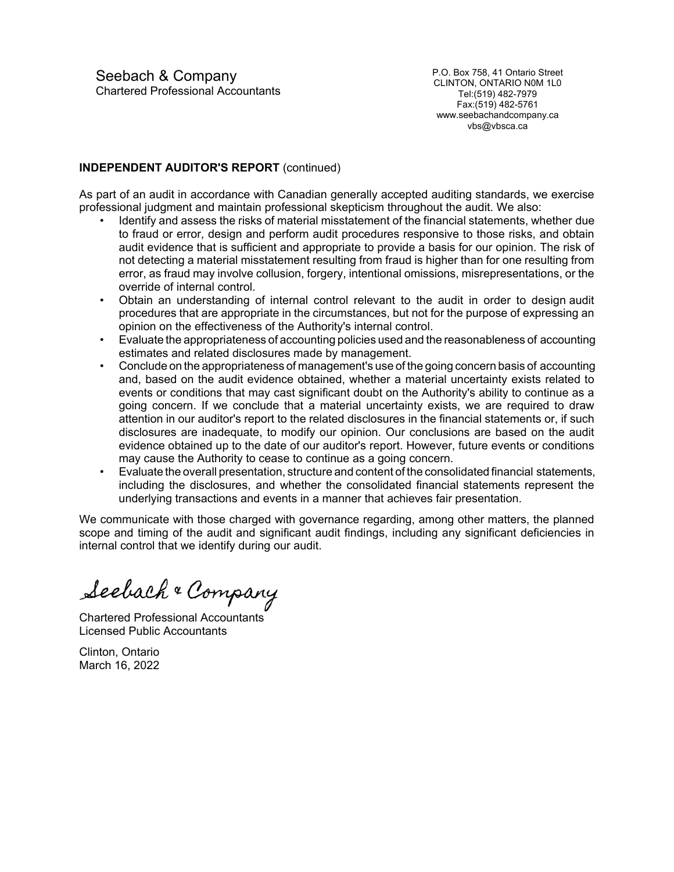P.O. Box 758, 41 Ontario Street CLINTON, ONTARIO N0M 1L0 Tel:(519) 482-7979 Fax:(519) 482-5761 www.seebachandcompany.ca vbs@vbsca.ca

### **INDEPENDENT AUDITOR'S REPORT** (continued)

As part of an audit in accordance with Canadian generally accepted auditing standards, we exercise professional judgment and maintain professional skepticism throughout the audit. We also:

- Identify and assess the risks of material misstatement of the financial statements, whether due to fraud or error, design and perform audit procedures responsive to those risks, and obtain audit evidence that is sufficient and appropriate to provide a basis for our opinion. The risk of not detecting a material misstatement resulting from fraud is higher than for one resulting from error, as fraud may involve collusion, forgery, intentional omissions, misrepresentations, or the override of internal control.
- Obtain an understanding of internal control relevant to the audit in order to design audit procedures that are appropriate in the circumstances, but not for the purpose of expressing an opinion on the effectiveness of the Authority's internal control.
- Evaluate the appropriateness of accounting policies used and the reasonableness of accounting estimates and related disclosures made by management.
- Conclude on the appropriateness of management's use of the going concern basis of accounting and, based on the audit evidence obtained, whether a material uncertainty exists related to events or conditions that may cast significant doubt on the Authority's ability to continue as a going concern. If we conclude that a material uncertainty exists, we are required to draw attention in our auditor's report to the related disclosures in the financial statements or, if such disclosures are inadequate, to modify our opinion. Our conclusions are based on the audit evidence obtained up to the date of our auditor's report. However, future events or conditions may cause the Authority to cease to continue as a going concern.
- Evaluate the overall presentation, structure and content of the consolidated financial statements, including the disclosures, and whether the consolidated financial statements represent the underlying transactions and events in a manner that achieves fair presentation.

We communicate with those charged with governance regarding, among other matters, the planned scope and timing of the audit and significant audit findings, including any significant deficiencies in internal control that we identify during our audit.

Seebach & Company

Chartered Professional Accountants Licensed Public Accountants

Clinton, Ontario March 16, 2022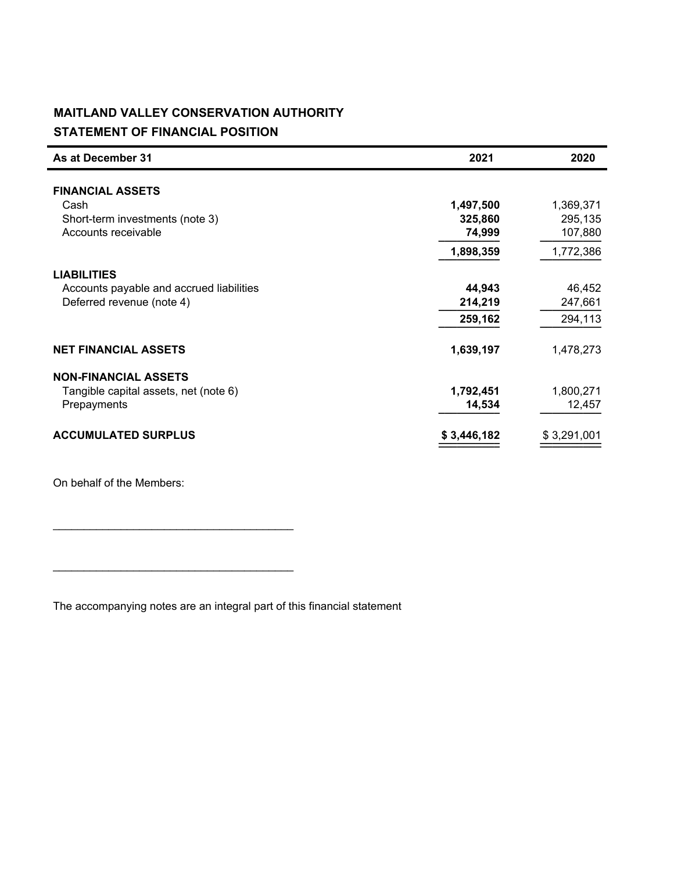# **MAITLAND VALLEY CONSERVATION AUTHORITY STATEMENT OF FINANCIAL POSITION**

| As at December 31                        | 2021        | 2020        |
|------------------------------------------|-------------|-------------|
| <b>FINANCIAL ASSETS</b>                  |             |             |
| Cash                                     | 1,497,500   | 1,369,371   |
| Short-term investments (note 3)          | 325,860     | 295,135     |
| Accounts receivable                      | 74,999      | 107,880     |
|                                          | 1,898,359   | 1,772,386   |
| <b>LIABILITIES</b>                       |             |             |
| Accounts payable and accrued liabilities | 44,943      | 46,452      |
| Deferred revenue (note 4)                | 214,219     | 247,661     |
|                                          | 259,162     | 294,113     |
| <b>NET FINANCIAL ASSETS</b>              | 1,639,197   | 1,478,273   |
| <b>NON-FINANCIAL ASSETS</b>              |             |             |
| Tangible capital assets, net (note 6)    | 1,792,451   | 1,800,271   |
| Prepayments                              | 14,534      | 12,457      |
| <b>ACCUMULATED SURPLUS</b>               | \$3,446,182 | \$3,291,001 |

On behalf of the Members:

The accompanying notes are an integral part of this financial statement

 $\mathcal{L}_\text{max}$  and  $\mathcal{L}_\text{max}$  and  $\mathcal{L}_\text{max}$  and  $\mathcal{L}_\text{max}$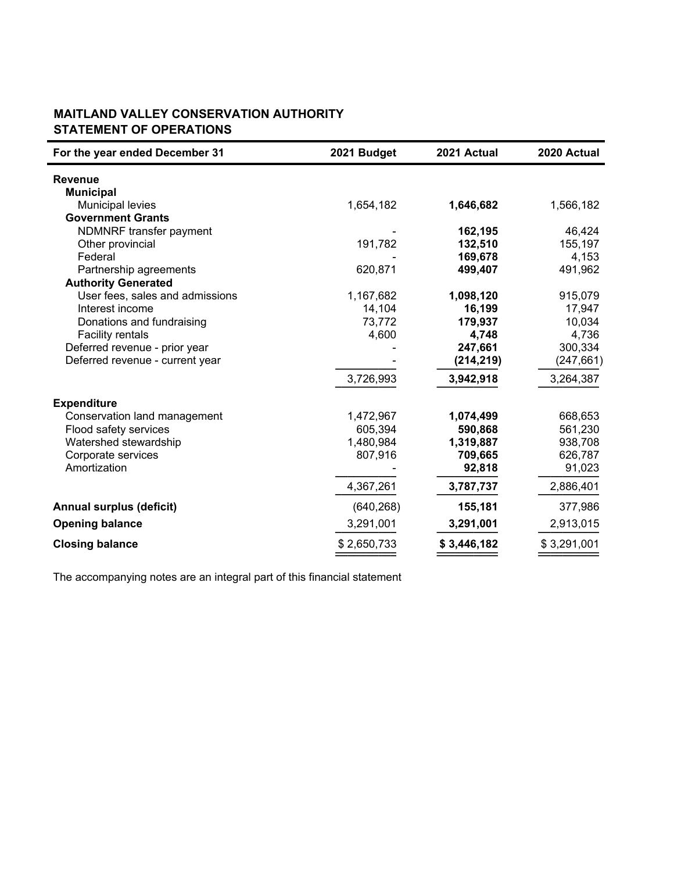# **MAITLAND VALLEY CONSERVATION AUTHORITY STATEMENT OF OPERATIONS**

| For the year ended December 31  | 2021 Budget | 2021 Actual | 2020 Actual |
|---------------------------------|-------------|-------------|-------------|
| <b>Revenue</b>                  |             |             |             |
| <b>Municipal</b>                |             |             |             |
| <b>Municipal levies</b>         | 1,654,182   | 1,646,682   | 1,566,182   |
| <b>Government Grants</b>        |             |             |             |
| NDMNRF transfer payment         |             | 162,195     | 46,424      |
| Other provincial                | 191,782     | 132,510     | 155,197     |
| Federal                         |             | 169,678     | 4,153       |
| Partnership agreements          | 620,871     | 499,407     | 491,962     |
| <b>Authority Generated</b>      |             |             |             |
| User fees, sales and admissions | 1,167,682   | 1,098,120   | 915,079     |
| Interest income                 | 14,104      | 16,199      | 17,947      |
| Donations and fundraising       | 73,772      | 179,937     | 10,034      |
| <b>Facility rentals</b>         | 4,600       | 4,748       | 4,736       |
| Deferred revenue - prior year   |             | 247,661     | 300,334     |
| Deferred revenue - current year |             | (214, 219)  | (247, 661)  |
|                                 | 3,726,993   | 3,942,918   | 3,264,387   |
| <b>Expenditure</b>              |             |             |             |
| Conservation land management    | 1,472,967   | 1,074,499   | 668,653     |
| Flood safety services           | 605,394     | 590,868     | 561,230     |
| Watershed stewardship           | 1,480,984   | 1,319,887   | 938,708     |
| Corporate services              | 807,916     | 709,665     | 626,787     |
| Amortization                    |             | 92,818      | 91,023      |
|                                 | 4,367,261   | 3,787,737   | 2,886,401   |
| <b>Annual surplus (deficit)</b> | (640, 268)  | 155,181     | 377,986     |
| <b>Opening balance</b>          | 3,291,001   | 3,291,001   | 2,913,015   |
| <b>Closing balance</b>          | \$2,650,733 | \$3,446,182 | \$3,291,001 |

The accompanying notes are an integral part of this financial statement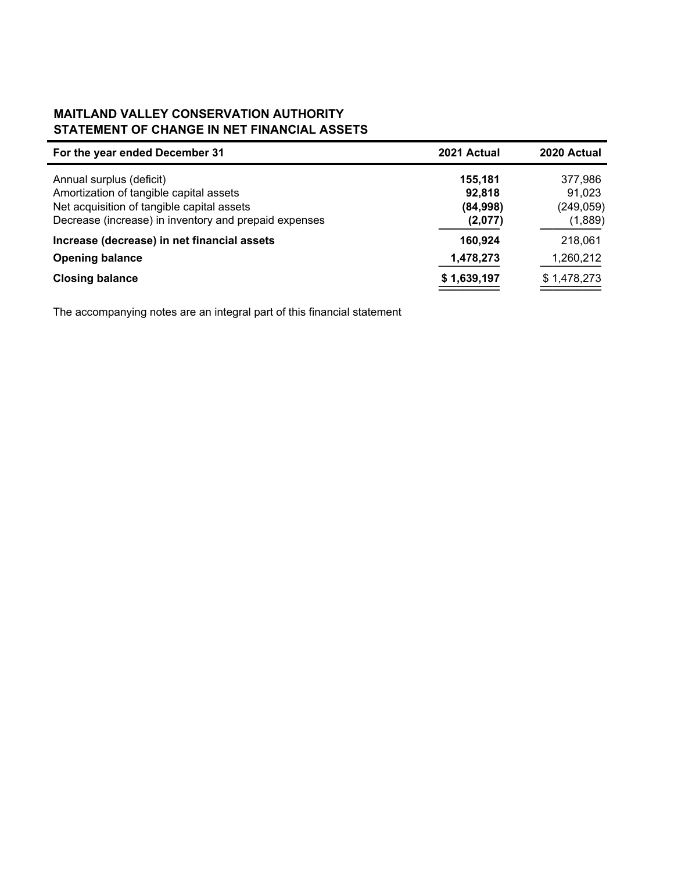# **MAITLAND VALLEY CONSERVATION AUTHORITY STATEMENT OF CHANGE IN NET FINANCIAL ASSETS**

| For the year ended December 31                                                                      | 2021 Actual         | 2020 Actual           |
|-----------------------------------------------------------------------------------------------------|---------------------|-----------------------|
| Annual surplus (deficit)<br>Amortization of tangible capital assets                                 | 155,181<br>92,818   | 377,986<br>91,023     |
| Net acquisition of tangible capital assets<br>Decrease (increase) in inventory and prepaid expenses | (84,998)<br>(2,077) | (249, 059)<br>(1,889) |
| Increase (decrease) in net financial assets                                                         | 160.924             | 218.061               |
| <b>Opening balance</b>                                                                              | 1,478,273           | 1,260,212             |
| <b>Closing balance</b>                                                                              | \$1,639,197         | \$1,478,273           |

The accompanying notes are an integral part of this financial statement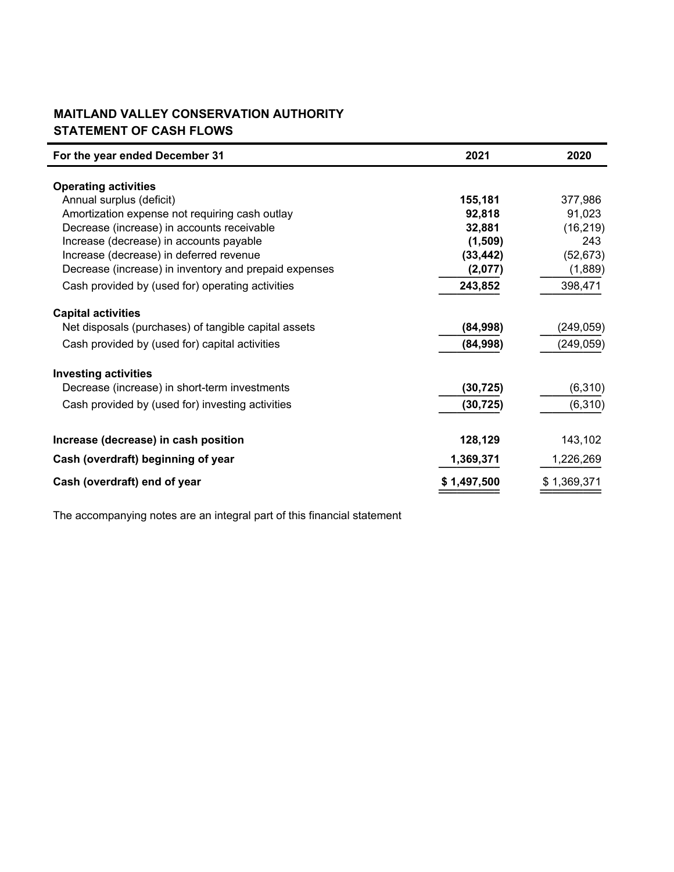# **MAITLAND VALLEY CONSERVATION AUTHORITY STATEMENT OF CASH FLOWS**

| For the year ended December 31                        | 2021        | 2020        |
|-------------------------------------------------------|-------------|-------------|
| <b>Operating activities</b>                           |             |             |
| Annual surplus (deficit)                              | 155,181     | 377,986     |
| Amortization expense not requiring cash outlay        | 92,818      | 91,023      |
| Decrease (increase) in accounts receivable            | 32,881      | (16, 219)   |
| Increase (decrease) in accounts payable               | (1, 509)    | 243         |
| Increase (decrease) in deferred revenue               | (33, 442)   | (52, 673)   |
| Decrease (increase) in inventory and prepaid expenses | (2,077)     | (1,889)     |
| Cash provided by (used for) operating activities      | 243,852     | 398,471     |
| <b>Capital activities</b>                             |             |             |
| Net disposals (purchases) of tangible capital assets  | (84,998)    | (249, 059)  |
| Cash provided by (used for) capital activities        | (84,998)    | (249, 059)  |
| <b>Investing activities</b>                           |             |             |
| Decrease (increase) in short-term investments         | (30, 725)   | (6,310)     |
| Cash provided by (used for) investing activities      | (30, 725)   | (6, 310)    |
| Increase (decrease) in cash position                  | 128,129     | 143,102     |
|                                                       |             |             |
| Cash (overdraft) beginning of year                    | 1,369,371   | 1,226,269   |
| Cash (overdraft) end of year                          | \$1,497,500 | \$1,369,371 |

The accompanying notes are an integral part of this financial statement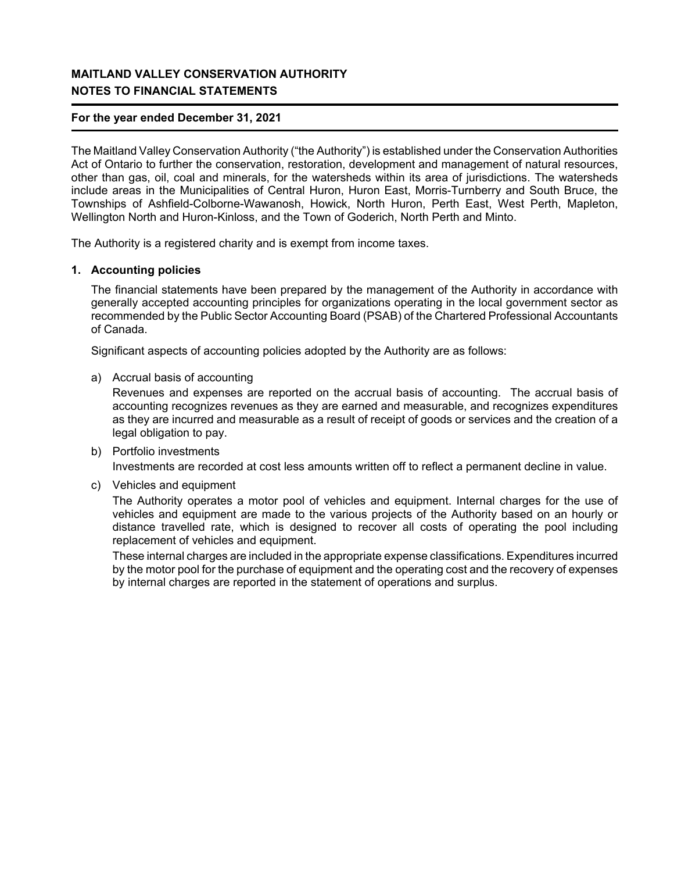## **MAITLAND VALLEY CONSERVATION AUTHORITY NOTES TO FINANCIAL STATEMENTS**

### **For the year ended December 31, 2021**

The Maitland Valley Conservation Authority ("the Authority") is established under the Conservation Authorities Act of Ontario to further the conservation, restoration, development and management of natural resources, other than gas, oil, coal and minerals, for the watersheds within its area of jurisdictions. The watersheds include areas in the Municipalities of Central Huron, Huron East, Morris-Turnberry and South Bruce, the Townships of Ashfield-Colborne-Wawanosh, Howick, North Huron, Perth East, West Perth, Mapleton, Wellington North and Huron-Kinloss, and the Town of Goderich, North Perth and Minto.

The Authority is a registered charity and is exempt from income taxes.

### **1. Accounting policies**

The financial statements have been prepared by the management of the Authority in accordance with generally accepted accounting principles for organizations operating in the local government sector as recommended by the Public Sector Accounting Board (PSAB) of the Chartered Professional Accountants of Canada.

Significant aspects of accounting policies adopted by the Authority are as follows:

a) Accrual basis of accounting

Revenues and expenses are reported on the accrual basis of accounting. The accrual basis of accounting recognizes revenues as they are earned and measurable, and recognizes expenditures as they are incurred and measurable as a result of receipt of goods or services and the creation of a legal obligation to pay.

### b) Portfolio investments Investments are recorded at cost less amounts written off to reflect a permanent decline in value.

c) Vehicles and equipment

The Authority operates a motor pool of vehicles and equipment. Internal charges for the use of vehicles and equipment are made to the various projects of the Authority based on an hourly or distance travelled rate, which is designed to recover all costs of operating the pool including replacement of vehicles and equipment.

These internal charges are included in the appropriate expense classifications. Expenditures incurred by the motor pool for the purchase of equipment and the operating cost and the recovery of expenses by internal charges are reported in the statement of operations and surplus.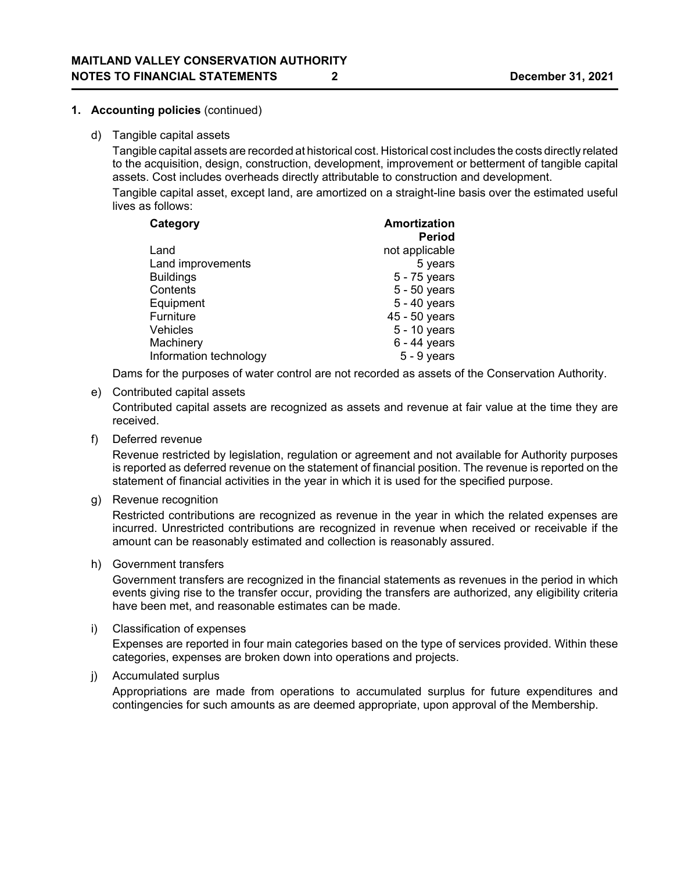#### **1. Accounting policies** (continued)

d) Tangible capital assets

Tangible capital assets are recorded at historical cost. Historical cost includes the costs directly related to the acquisition, design, construction, development, improvement or betterment of tangible capital assets. Cost includes overheads directly attributable to construction and development.

Tangible capital asset, except land, are amortized on a straight-line basis over the estimated useful lives as follows:

| Amortization   |
|----------------|
| <b>Period</b>  |
| not applicable |
| 5 years        |
| 5 - 75 years   |
| 5 - 50 years   |
| 5 - 40 years   |
| 45 - 50 years  |
| 5 - 10 years   |
| $6 - 44$ years |
| $5 - 9$ years  |
|                |

Dams for the purposes of water control are not recorded as assets of the Conservation Authority.

e) Contributed capital assets

Contributed capital assets are recognized as assets and revenue at fair value at the time they are received.

f) Deferred revenue

Revenue restricted by legislation, regulation or agreement and not available for Authority purposes is reported as deferred revenue on the statement of financial position. The revenue is reported on the statement of financial activities in the year in which it is used for the specified purpose.

g) Revenue recognition

Restricted contributions are recognized as revenue in the year in which the related expenses are incurred. Unrestricted contributions are recognized in revenue when received or receivable if the amount can be reasonably estimated and collection is reasonably assured.

h) Government transfers

Government transfers are recognized in the financial statements as revenues in the period in which events giving rise to the transfer occur, providing the transfers are authorized, any eligibility criteria have been met, and reasonable estimates can be made.

i) Classification of expenses

Expenses are reported in four main categories based on the type of services provided. Within these categories, expenses are broken down into operations and projects.

j) Accumulated surplus

Appropriations are made from operations to accumulated surplus for future expenditures and contingencies for such amounts as are deemed appropriate, upon approval of the Membership.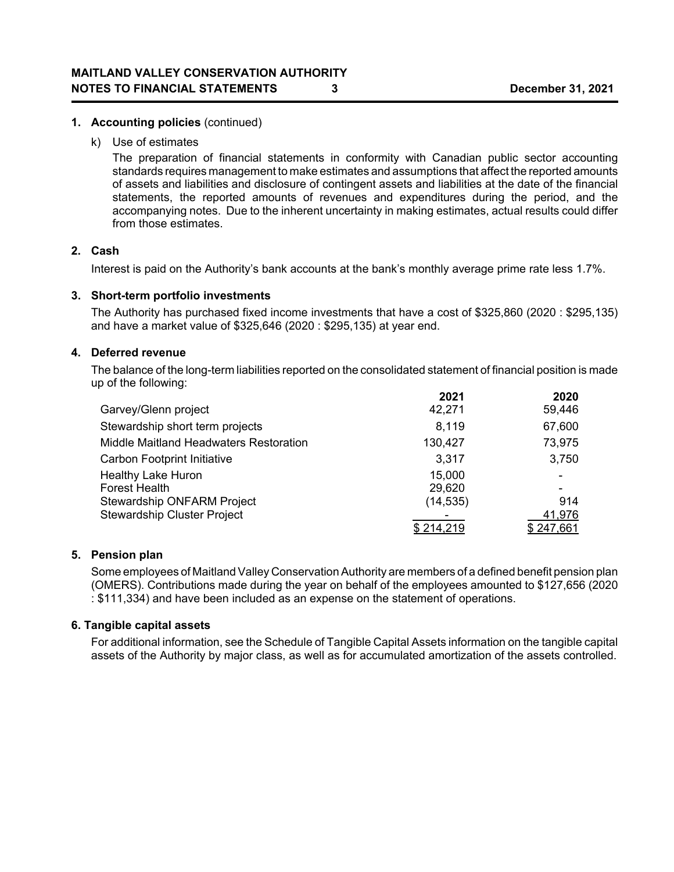#### **1. Accounting policies** (continued)

k) Use of estimates

The preparation of financial statements in conformity with Canadian public sector accounting standards requires management to make estimates and assumptions that affect the reported amounts of assets and liabilities and disclosure of contingent assets and liabilities at the date of the financial statements, the reported amounts of revenues and expenditures during the period, and the accompanying notes. Due to the inherent uncertainty in making estimates, actual results could differ from those estimates.

### **2. Cash**

Interest is paid on the Authority's bank accounts at the bank's monthly average prime rate less 1.7%.

#### **3. Short-term portfolio investments**

The Authority has purchased fixed income investments that have a cost of \$325,860 (2020 : \$295,135) and have a market value of \$325,646 (2020 : \$295,135) at year end.

### **4. Deferred revenue**

The balance of the long-term liabilities reported on the consolidated statement of financial position is made up of the following:

|                                        | 2021      | 2020      |
|----------------------------------------|-----------|-----------|
| Garvey/Glenn project                   | 42,271    | 59,446    |
| Stewardship short term projects        | 8,119     | 67,600    |
| Middle Maitland Headwaters Restoration | 130,427   | 73,975    |
| <b>Carbon Footprint Initiative</b>     | 3,317     | 3,750     |
| <b>Healthy Lake Huron</b>              | 15,000    |           |
| <b>Forest Health</b>                   | 29,620    |           |
| <b>Stewardship ONFARM Project</b>      | (14, 535) | 914       |
| <b>Stewardship Cluster Project</b>     |           | 41,976    |
|                                        | \$214,219 | \$247,661 |

#### **5. Pension plan**

Some employees of Maitland Valley Conservation Authority are members of a defined benefit pension plan (OMERS). Contributions made during the year on behalf of the employees amounted to \$127,656 (2020 : \$111,334) and have been included as an expense on the statement of operations.

#### **6. Tangible capital assets**

For additional information, see the Schedule of Tangible Capital Assets information on the tangible capital assets of the Authority by major class, as well as for accumulated amortization of the assets controlled.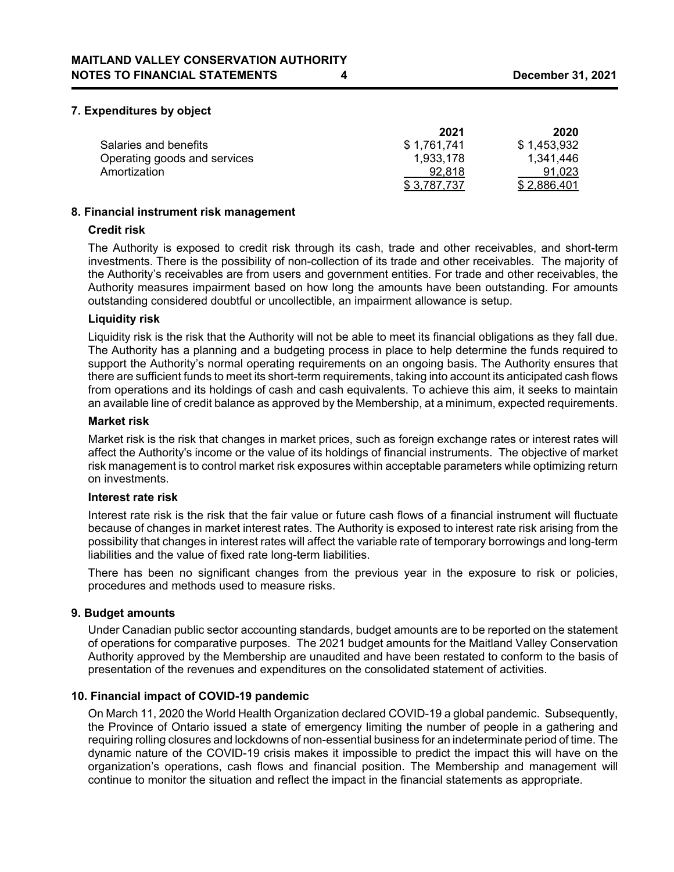#### **7. Expenditures by object**

|                              | 2021        | 2020        |
|------------------------------|-------------|-------------|
| Salaries and benefits        | \$1,761,741 | \$1,453,932 |
| Operating goods and services | 1,933,178   | 1,341,446   |
| Amortization                 | 92.818      | 91.023      |
|                              | \$3,787,737 | \$2,886,401 |

#### **8. Financial instrument risk management**

#### **Credit risk**

The Authority is exposed to credit risk through its cash, trade and other receivables, and short-term investments. There is the possibility of non-collection of its trade and other receivables. The majority of the Authority's receivables are from users and government entities. For trade and other receivables, the Authority measures impairment based on how long the amounts have been outstanding. For amounts outstanding considered doubtful or uncollectible, an impairment allowance is setup.

#### **Liquidity risk**

Liquidity risk is the risk that the Authority will not be able to meet its financial obligations as they fall due. The Authority has a planning and a budgeting process in place to help determine the funds required to support the Authority's normal operating requirements on an ongoing basis. The Authority ensures that there are sufficient funds to meet its short-term requirements, taking into account its anticipated cash flows from operations and its holdings of cash and cash equivalents. To achieve this aim, it seeks to maintain an available line of credit balance as approved by the Membership, at a minimum, expected requirements.

#### **Market risk**

Market risk is the risk that changes in market prices, such as foreign exchange rates or interest rates will affect the Authority's income or the value of its holdings of financial instruments. The objective of market risk management is to control market risk exposures within acceptable parameters while optimizing return on investments.

#### **Interest rate risk**

Interest rate risk is the risk that the fair value or future cash flows of a financial instrument will fluctuate because of changes in market interest rates. The Authority is exposed to interest rate risk arising from the possibility that changes in interest rates will affect the variable rate of temporary borrowings and long-term liabilities and the value of fixed rate long-term liabilities.

There has been no significant changes from the previous year in the exposure to risk or policies, procedures and methods used to measure risks.

#### **9. Budget amounts**

Under Canadian public sector accounting standards, budget amounts are to be reported on the statement of operations for comparative purposes. The 2021 budget amounts for the Maitland Valley Conservation Authority approved by the Membership are unaudited and have been restated to conform to the basis of presentation of the revenues and expenditures on the consolidated statement of activities.

#### **10. Financial impact of COVID-19 pandemic**

On March 11, 2020 the World Health Organization declared COVID-19 a global pandemic. Subsequently, the Province of Ontario issued a state of emergency limiting the number of people in a gathering and requiring rolling closures and lockdowns of non-essential business for an indeterminate period of time. The dynamic nature of the COVID-19 crisis makes it impossible to predict the impact this will have on the organization's operations, cash flows and financial position. The Membership and management will continue to monitor the situation and reflect the impact in the financial statements as appropriate.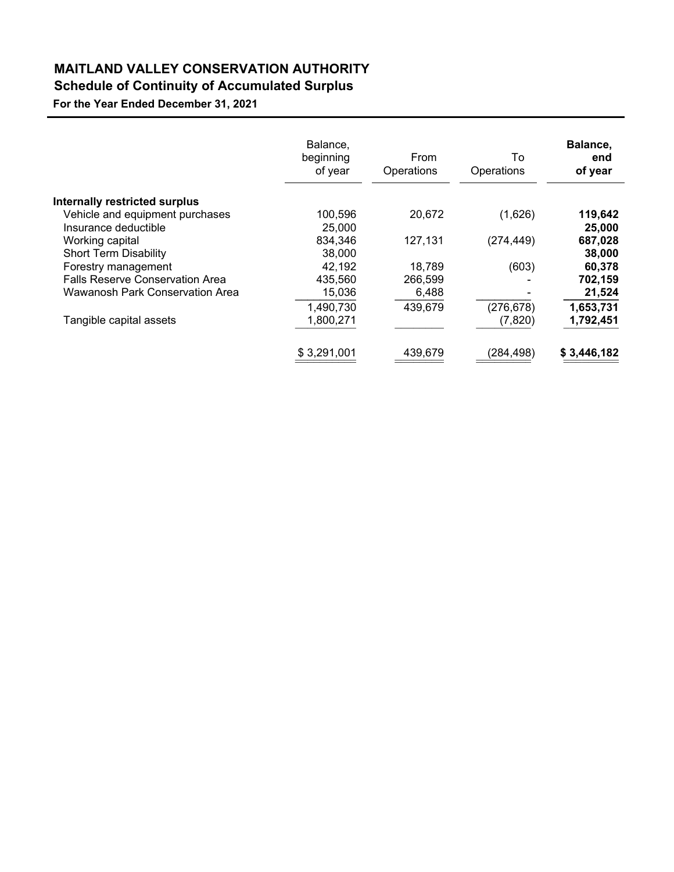# **MAITLAND VALLEY CONSERVATION AUTHORITY**

# **Schedule of Continuity of Accumulated Surplus**

**For the Year Ended December 31, 2021** 

|                                        | Balance,<br>beginning<br>of year | From<br>Operations | To<br>Operations | Balance,<br>end<br>of year |
|----------------------------------------|----------------------------------|--------------------|------------------|----------------------------|
| <b>Internally restricted surplus</b>   |                                  |                    |                  |                            |
| Vehicle and equipment purchases        | 100,596                          | 20,672             | (1,626)          | 119,642                    |
| Insurance deductible                   | 25,000                           |                    |                  | 25,000                     |
| Working capital                        | 834,346                          | 127,131            | (274, 449)       | 687,028                    |
| <b>Short Term Disability</b>           | 38,000                           |                    |                  | 38,000                     |
| Forestry management                    | 42,192                           | 18,789             | (603)            | 60,378                     |
| <b>Falls Reserve Conservation Area</b> | 435.560                          | 266,599            |                  | 702,159                    |
| <b>Wawanosh Park Conservation Area</b> | 15,036                           | 6,488              |                  | 21,524                     |
|                                        | 1,490,730                        | 439,679            | (276, 678)       | 1,653,731                  |
| Tangible capital assets                | 1,800,271                        |                    | (7, 820)         | 1,792,451                  |
|                                        | \$3,291,001                      | 439,679            | (284,498)        | \$3,446,182                |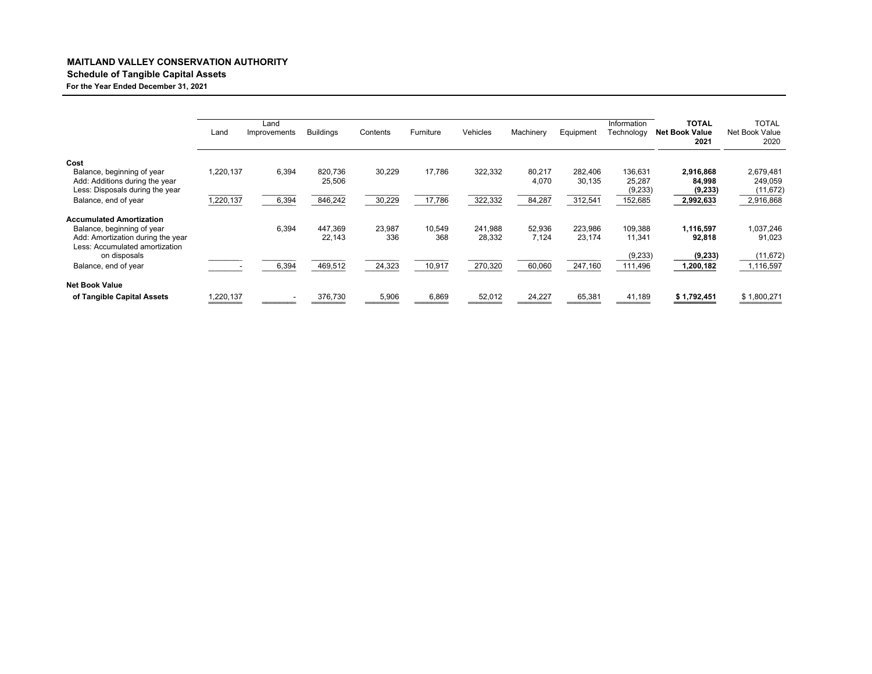#### **MAITLAND VALLEY CONSERVATION AUTHORITY**

#### **Schedule of Tangible Capital Assets**

**For the Year Ended December 31, 2021** 

|                                                                                                                                      | Land      | Land<br>Improvements | <b>Buildings</b>  | Contents      | Furniture     | Vehicles          | Machinery       | Equipment         | Information<br>Technology    | <b>TOTAL</b><br><b>Net Book Value</b><br>2021 | <b>TOTAL</b><br>Net Book Value<br>2020 |
|--------------------------------------------------------------------------------------------------------------------------------------|-----------|----------------------|-------------------|---------------|---------------|-------------------|-----------------|-------------------|------------------------------|-----------------------------------------------|----------------------------------------|
| Cost<br>Balance, beginning of year<br>Add: Additions during the year<br>Less: Disposals during the year                              | 1,220,137 | 6,394                | 820.736<br>25,506 | 30,229        | 17,786        | 322,332           | 80,217<br>4,070 | 282,406<br>30,135 | 136,631<br>25,287<br>(9,233) | 2,916,868<br>84,998<br>(9,233)                | 2,679,481<br>249,059<br>(11, 672)      |
| Balance, end of year                                                                                                                 | 1,220,137 | 6,394                | 846,242           | 30,229        | 17,786        | 322,332           | 84,287          | 312,541           | 152,685                      | 2,992,633                                     | 2,916,868                              |
| <b>Accumulated Amortization</b><br>Balance, beginning of year<br>Add: Amortization during the year<br>Less: Accumulated amortization |           | 6,394                | 447.369<br>22,143 | 23,987<br>336 | 10,549<br>368 | 241,988<br>28,332 | 52,936<br>7,124 | 223,986<br>23,174 | 109,388<br>11,341            | 1,116,597<br>92,818                           | 1,037,246<br>91,023                    |
| on disposals<br>Balance, end of year                                                                                                 |           | 6,394                | 469,512           | 24,323        | 10,917        | 270,320           | 60,060          | 247,160           | (9,233)<br>111,496           | (9, 233)<br>1,200,182                         | (11, 672)<br>1,116,597                 |
| <b>Net Book Value</b><br>of Tangible Capital Assets                                                                                  | ,220,137  |                      | 376,730           | 5,906         | 6,869         | 52,012            | 24,227          | 65,381            | 41,189                       | \$1,792,451                                   | \$1,800,271                            |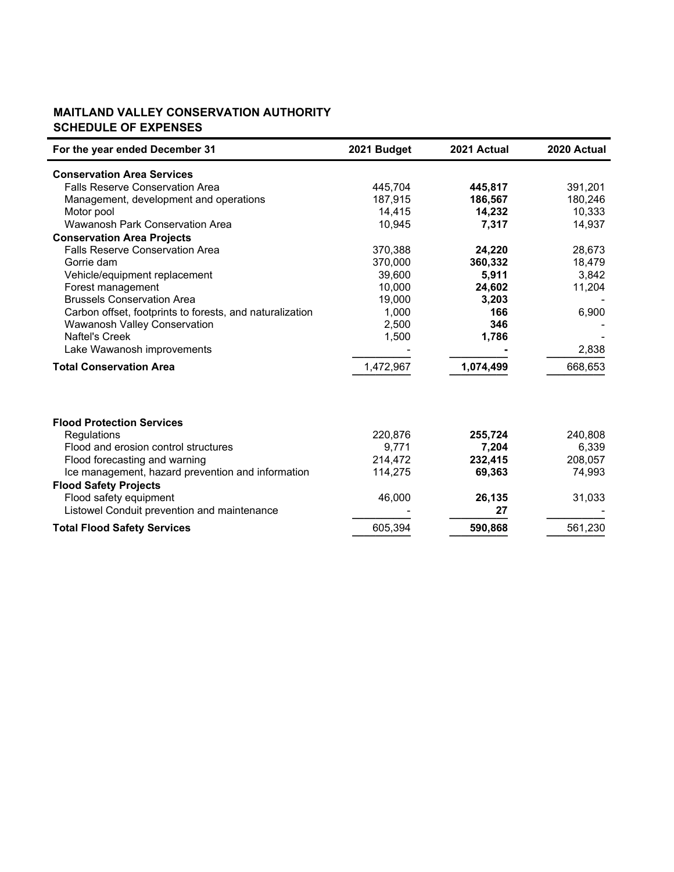### **MAITLAND VALLEY CONSERVATION AUTHORITY SCHEDULE OF EXPENSES**

| For the year ended December 31                           | 2021 Budget | 2021 Actual | 2020 Actual |
|----------------------------------------------------------|-------------|-------------|-------------|
| <b>Conservation Area Services</b>                        |             |             |             |
| <b>Falls Reserve Conservation Area</b>                   | 445,704     | 445,817     | 391,201     |
| Management, development and operations                   | 187,915     | 186,567     | 180,246     |
| Motor pool                                               | 14,415      | 14,232      | 10,333      |
| Wawanosh Park Conservation Area                          | 10,945      | 7,317       | 14,937      |
| <b>Conservation Area Projects</b>                        |             |             |             |
| <b>Falls Reserve Conservation Area</b>                   | 370,388     | 24,220      | 28,673      |
| Gorrie dam                                               | 370,000     | 360,332     | 18,479      |
| Vehicle/equipment replacement                            | 39,600      | 5,911       | 3,842       |
| Forest management                                        | 10,000      | 24,602      | 11,204      |
| <b>Brussels Conservation Area</b>                        | 19,000      | 3,203       |             |
| Carbon offset, footprints to forests, and naturalization | 1,000       | 166         | 6,900       |
| Wawanosh Valley Conservation                             | 2,500       | 346         |             |
| Naftel's Creek                                           | 1,500       | 1,786       |             |
| Lake Wawanosh improvements                               |             |             | 2,838       |
| <b>Total Conservation Area</b>                           | 1,472,967   | 1,074,499   | 668,653     |
|                                                          |             |             |             |
| <b>Flood Protection Services</b>                         |             |             |             |
| Regulations                                              | 220,876     | 255,724     | 240,808     |
| Flood and erosion control structures                     | 9,771       | 7,204       | 6,339       |
| Flood forecasting and warning                            | 214.472     | 232,415     | 208,057     |
| Ice management, hazard prevention and information        | 114,275     | 69,363      | 74,993      |
| <b>Flood Safety Projects</b>                             |             |             |             |
| Flood safety equipment                                   | 46,000      | 26,135      | 31,033      |
| Listowel Conduit prevention and maintenance              |             | 27          |             |
| <b>Total Flood Safety Services</b>                       | 605,394     | 590,868     | 561,230     |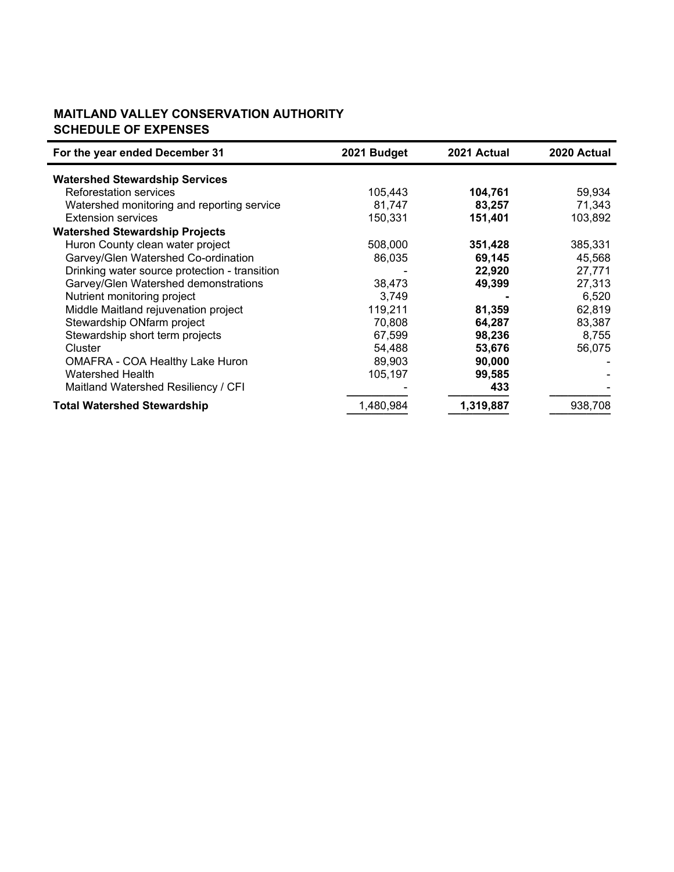# **MAITLAND VALLEY CONSERVATION AUTHORITY SCHEDULE OF EXPENSES**

| For the year ended December 31                | 2021 Budget | 2021 Actual | 2020 Actual |
|-----------------------------------------------|-------------|-------------|-------------|
| <b>Watershed Stewardship Services</b>         |             |             |             |
| Reforestation services                        | 105,443     | 104,761     | 59,934      |
| Watershed monitoring and reporting service    | 81,747      | 83,257      | 71,343      |
| <b>Extension services</b>                     | 150,331     | 151,401     | 103,892     |
| <b>Watershed Stewardship Projects</b>         |             |             |             |
| Huron County clean water project              | 508,000     | 351,428     | 385,331     |
| Garvey/Glen Watershed Co-ordination           | 86,035      | 69,145      | 45,568      |
| Drinking water source protection - transition |             | 22,920      | 27,771      |
| Garvey/Glen Watershed demonstrations          | 38,473      | 49,399      | 27,313      |
| Nutrient monitoring project                   | 3,749       |             | 6,520       |
| Middle Maitland rejuvenation project          | 119,211     | 81,359      | 62,819      |
| Stewardship ONfarm project                    | 70,808      | 64,287      | 83,387      |
| Stewardship short term projects               | 67,599      | 98,236      | 8,755       |
| Cluster                                       | 54,488      | 53,676      | 56,075      |
| <b>OMAFRA - COA Healthy Lake Huron</b>        | 89,903      | 90,000      |             |
| <b>Watershed Health</b>                       | 105,197     | 99,585      |             |
| Maitland Watershed Resiliency / CFI           |             | 433         |             |
| <b>Total Watershed Stewardship</b>            | 1,480,984   | 1,319,887   | 938,708     |